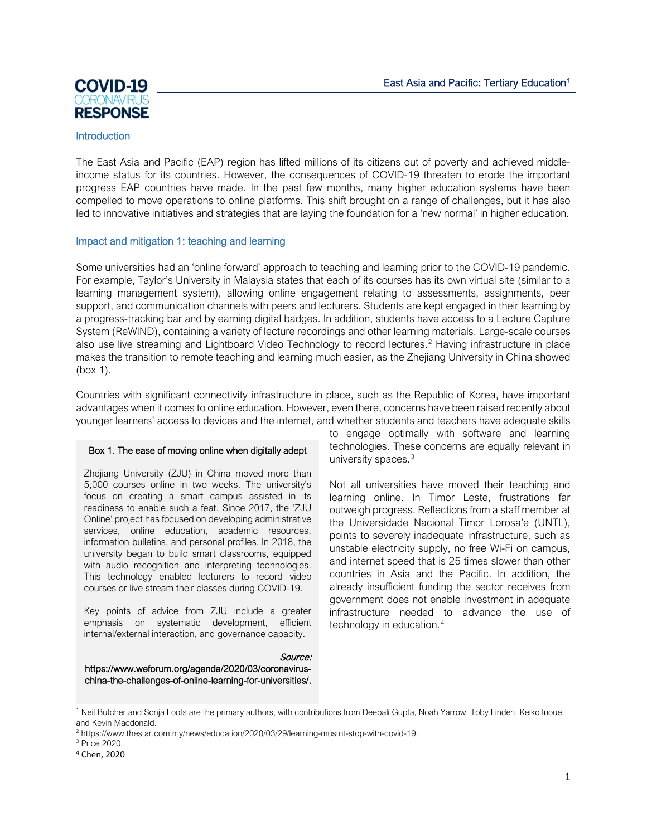

## **Introduction**

The East Asia and Pacific (EAP) region has lifted millions of its citizens out of poverty and achieved middleincome status for its countries. However, the consequences of COVID-19 threaten to erode the important progress EAP countries have made. In the past few months, many higher education systems have been compelled to move operations to online platforms. This shift brought on a range of challenges, but it has also led to innovative initiatives and strategies that are laying the foundation for a 'new normal' in higher education.

## Impact and mitigation 1: teaching and learning

Some universities had an 'online forward' approach to teaching and learning prior to the COVID-19 pandemic. For example, Taylor's University in Malaysia states that each of its courses has its own virtual site (similar to a learning management system), allowing online engagement relating to assessments, assignments, peer support, and communication channels with peers and lecturers. Students are kept engaged in their learning by a progress-tracking bar and by earning digital badges. In addition, students have access to a Lecture Capture System (ReWIND), containing a variety of lecture recordings and other learning materials. Large-scale courses also use live streaming and Lightboard Video Technology to record lectures.<sup>[2](#page-0-1)</sup> Having infrastructure in place makes the transition to remote teaching and learning much easier, as the Zhejiang University in China showed (box 1).

Countries with significant connectivity infrastructure in place, such as the Republic of Korea, have important advantages when it comes to online education. However, even there, concerns have been raised recently about younger learners' access to devices and the internet, and whether students and teachers have adequate skills

### Box 1. The ease of moving online when digitally adept

Zhejiang University (ZJU) in China moved more than 5,000 courses online in two weeks. The university's focus on creating a smart campus assisted in its readiness to enable such a feat. Since 2017, the 'ZJU Online' project has focused on developing administrative services, online education, academic resources, information bulletins, and personal profiles. In 2018, the university began to build smart classrooms, equipped with audio recognition and interpreting technologies. This technology enabled lecturers to record video courses or live stream their classes during COVID-19.

Key points of advice from ZJU include a greater emphasis on systematic development, efficient internal/external interaction, and governance capacity.

to engage optimally with software and learning technologies. These concerns are equally relevant in university spaces.<sup>[3](#page-0-2)</sup>

Not all universities have moved their teaching and learning online. In Timor Leste, frustrations far outweigh progress. Reflections from a staff member at the Universidade Nacional Timor Lorosa'e (UNTL), points to severely inadequate infrastructure, such as unstable electricity supply, no free Wi-Fi on campus, and internet speed that is 25 times slower than other countries in Asia and the Pacific. In addition, the already insufficient funding the sector receives from government does not enable investment in adequate infrastructure needed to advance the use of technology in education.[4](#page-0-3)

Source: [https://www.weforum.org/agenda/2020/03/coronavirus](https://www.weforum.org/agenda/2020/03/coronavirus-china-the-challenges-of-online-learning-for-universities/)[china-the-challenges-of-online-learning-for-universities/.](https://www.weforum.org/agenda/2020/03/coronavirus-china-the-challenges-of-online-learning-for-universities/)

<span id="page-0-2"></span><sup>3</sup> Price 2020.

<span id="page-0-0"></span><sup>1</sup> Neil Butcher and Sonja Loots are the primary authors, with contributions from Deepali Gupta, Noah Yarrow, Toby Linden, Keiko Inoue, and Kevin Macdonald.

<span id="page-0-1"></span><sup>2</sup> [https://www.thestar.com.my/news/education/2020/03/29/learning-mustnt-stop-with-covid-19.](https://www.thestar.com.my/news/education/2020/03/29/learning-mustnt-stop-with-covid-19)

<span id="page-0-3"></span><sup>4</sup> Chen, 2020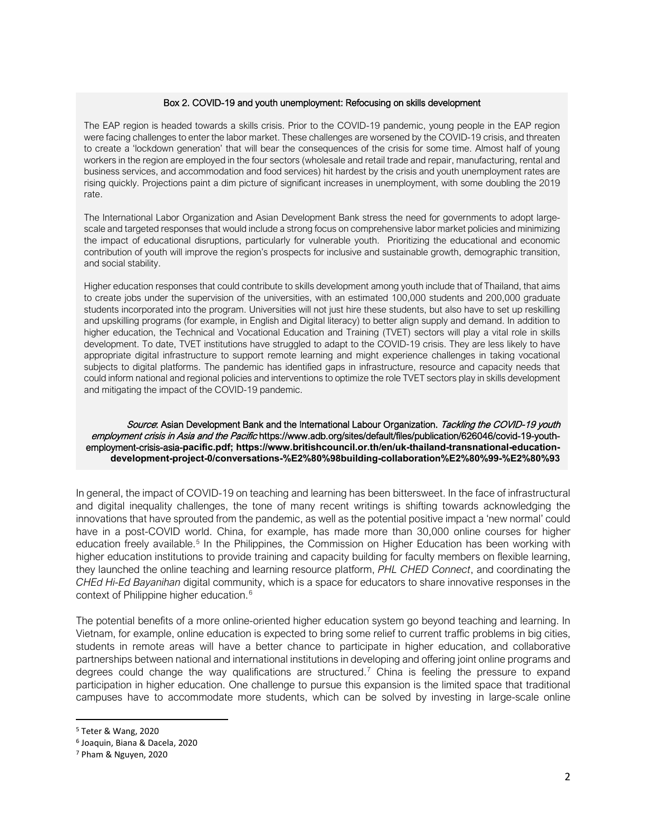#### Box 2. COVID-19 and youth unemployment: Refocusing on skills development

The EAP region is headed towards a skills crisis. Prior to the COVID-19 pandemic, young people in the EAP region were facing challenges to enter the labor market. These challenges are worsened by the COVID-19 crisis, and threaten to create a 'lockdown generation' that will bear the consequences of the crisis for some time. Almost half of young workers in the region are employed in the four sectors (wholesale and retail trade and repair, manufacturing, rental and business services, and accommodation and food services) hit hardest by the crisis and youth unemployment rates are rising quickly. Projections paint a dim picture of significant increases in unemployment, with some doubling the 2019 rate.

The International Labor Organization and Asian Development Bank stress the need for governments to adopt largescale and targeted responses that would include a strong focus on comprehensive labor market policies and minimizing the impact of educational disruptions, particularly for vulnerable youth. Prioritizing the educational and economic contribution of youth will improve the region's prospects for inclusive and sustainable growth, demographic transition, and social stability.

Higher education responses that could contribute to skills development among youth include that of Thailand, that aims to create jobs under the supervision of the universities, with an estimated 100,000 students and 200,000 graduate students incorporated into the program. Universities will not just hire these students, but also have to set up reskilling and upskilling programs (for example, in English and Digital literacy) to better align supply and demand. In addition to higher education, the Technical and Vocational Education and Training (TVET) sectors will play a vital role in skills development. To date, TVET institutions have struggled to adapt to the COVID-19 crisis. They are less likely to have appropriate digital infrastructure to support remote learning and might experience challenges in taking vocational subjects to digital platforms. The pandemic has identified gaps in infrastructure, resource and capacity needs that could inform national and regional policies and interventions to optimize the role TVET sectors play in skills development and mitigating the impact of the COVID-19 pandemic.

#### Source: Asian Development Bank and the International Labour Organization. Tackling the COVID-19 youth employment crisis in Asia and the Pacific https://www.adb.org/sites/default/files/publication/626046/covid-19-youthemployment-crisis-asia-**pacific.pdf; https://www.britishcouncil.or.th/en/uk-thailand-transnational-educationdevelopment-project-0/conversations-%E2%80%98building-collaboration%E2%80%99-%E2%80%93**

In general, the impact of COVID-19 on teaching and learning has been bittersweet. In the face of infrastructural and digital inequality challenges, the tone of many recent writings is shifting towards acknowledging the innovations that have sprouted from the pandemic, as well as the potential positive impact a 'new normal' could have in a post-COVID world. China, for example, has made more than 30,000 online courses for higher education freely available.<sup>[5](#page-1-0)</sup> In the Philippines, the Commission on Higher Education has been working with higher education institutions to provide training and capacity building for faculty members on flexible learning, they launched the online teaching and learning resource platform, *PHL CHED Connect*, and coordinating the *CHEd Hi-Ed Bayanihan* digital community, which is a space for educators to share innovative responses in the context of Philippine higher education.<sup>[6](#page-1-1)</sup>

The potential benefits of a more online-oriented higher education system go beyond teaching and learning. In Vietnam, for example, online education is expected to bring some relief to current traffic problems in big cities, students in remote areas will have a better chance to participate in higher education, and collaborative partnerships between national and international institutions in developing and offering joint online programs and degrees could change the way qualifications are structured.<sup>[7](#page-1-2)</sup> China is feeling the pressure to expand participation in higher education. One challenge to pursue this expansion is the limited space that traditional campuses have to accommodate more students, which can be solved by investing in large-scale online

<span id="page-1-0"></span><sup>5</sup> Teter & Wang, 2020

<span id="page-1-1"></span><sup>6</sup> Joaquin, Biana & Dacela, 2020

<span id="page-1-2"></span><sup>7</sup> Pham & Nguyen, 2020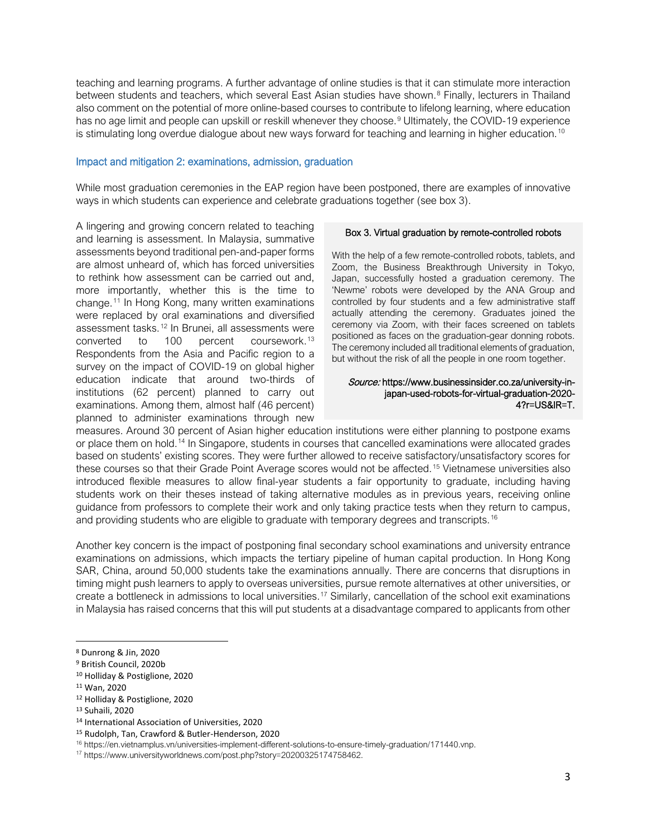teaching and learning programs. A further advantage of online studies is that it can stimulate more interaction between students and teachers, which several East Asian studies have shown.<sup>[8](#page-2-0)</sup> Finally, lecturers in Thailand also comment on the potential of more online-based courses to contribute to lifelong learning, where education has no age limit and people can upskill or reskill whenever they choose.<sup>[9](#page-2-1)</sup> Ultimately, the COVID-19 experience is stimulating long overdue dialogue about new ways forward for teaching and learning in higher education.<sup>[10](#page-2-2)</sup>

### Impact and mitigation 2: examinations, admission, graduation

While most graduation ceremonies in the EAP region have been postponed, there are examples of innovative ways in which students can experience and celebrate graduations together (see box 3).

A lingering and growing concern related to teaching and learning is assessment. In Malaysia, summative assessments beyond traditional pen-and-paper forms are almost unheard of, which has forced universities to rethink how assessment can be carried out and, more importantly, whether this is the time to change.[11](#page-2-3) In Hong Kong, many written examinations were replaced by oral examinations and diversified assessment tasks. [12](#page-2-4) In Brunei, all assessments were converted to 100 percent coursework.<sup>[13](#page-2-5)</sup> Respondents from the Asia and Pacific region to a survey on the impact of COVID-19 on global higher education indicate that around two-thirds of institutions (62 percent) planned to carry out examinations. Among them, almost half (46 percent) planned to administer examinations through new

### Box 3. Virtual graduation by remote-controlled robots

With the help of a few remote-controlled robots, tablets, and Zoom, the Business Breakthrough University in Tokyo, Japan, successfully hosted a graduation ceremony. The 'Newme' robots were developed by the ANA Group and controlled by four students and a few administrative staff actually attending the ceremony. Graduates joined the ceremony via Zoom, with their faces screened on tablets positioned as faces on the graduation-gear donning robots. The ceremony included all traditional elements of graduation, but without the risk of all the people in one room together.

#### Source: [https://www.businessinsider.co.za/university-in](https://www.businessinsider.co.za/university-in-japan-used-robots-for-virtual-graduation-2020-4?r=US&IR=T)[japan-used-robots-for-virtual-graduation-2020-](https://www.businessinsider.co.za/university-in-japan-used-robots-for-virtual-graduation-2020-4?r=US&IR=T) [4?r=US&IR=T.](https://www.businessinsider.co.za/university-in-japan-used-robots-for-virtual-graduation-2020-4?r=US&IR=T)

measures. Around 30 percent of Asian higher education institutions were either planning to postpone exams or place them on hold.<sup>[14](#page-2-6)</sup> In Singapore, students in courses that cancelled examinations were allocated grades based on students' existing scores. They were further allowed to receive satisfactory/unsatisfactory scores for these courses so that their Grade Point Average scores would not be affected.<sup>[15](#page-2-7)</sup> Vietnamese universities also introduced flexible measures to allow final-year students a fair opportunity to graduate, including having students work on their theses instead of taking alternative modules as in previous years, receiving online guidance from professors to complete their work and only taking practice tests when they return to campus, and providing students who are eligible to graduate with temporary degrees and transcripts.<sup>[16](#page-2-8)</sup>

Another key concern is the impact of postponing final secondary school examinations and university entrance examinations on admissions, which impacts the tertiary pipeline of human capital production. In Hong Kong SAR, China, around 50,000 students take the examinations annually. There are concerns that disruptions in timing might push learners to apply to overseas universities, pursue remote alternatives at other universities, or create a bottleneck in admissions to local universities. [17](#page-2-9) Similarly, cancellation of the school exit examinations in Malaysia has raised concerns that this will put students at a disadvantage compared to applicants from other

<span id="page-2-2"></span><sup>10</sup> Holliday & Postiglione, 2020

<span id="page-2-0"></span><sup>8</sup> Dunrong & Jin, 2020

<span id="page-2-1"></span><sup>9</sup> British Council, 2020b

<span id="page-2-3"></span><sup>11</sup> Wan, 2020

<span id="page-2-4"></span><sup>12</sup> Holliday & Postiglione, 2020

<span id="page-2-6"></span><span id="page-2-5"></span><sup>13</sup> Suhaili, 2020

<sup>14</sup> International Association of Universities, 2020

<span id="page-2-7"></span><sup>15</sup> Rudolph, Tan, Crawford & Butler-Henderson, 2020

<sup>16</sup> [https://en.vietnamplus.vn/universities-implement-different-solutions-to-ensure-timely-graduation/171440.vnp.](https://en.vietnamplus.vn/universities-implement-different-solutions-to-ensure-timely-graduation/171440.vnp)

<span id="page-2-9"></span><span id="page-2-8"></span><sup>17</sup> [https://www.universityworldnews.com/post.php?story=20200325174758462.](https://www.universityworldnews.com/post.php?story=20200325174758462)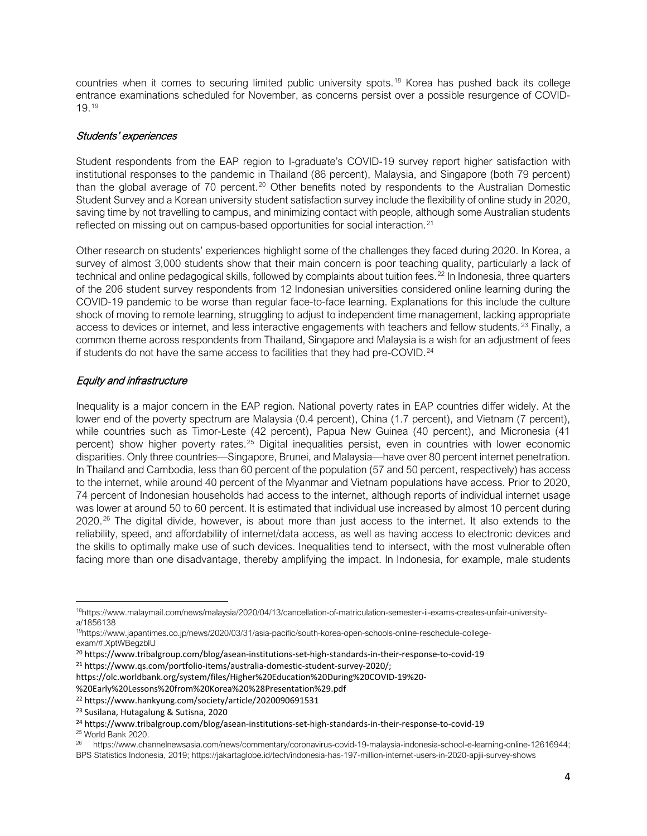countries when it comes to securing limited public university spots.[18](#page-3-0) Korea has pushed back its college entrance examinations scheduled for November, as concerns persist over a possible resurgence of COVID-19.[19](#page-3-1)

## Students' experiences

Student respondents from the EAP region to I-graduate's COVID-19 survey report higher satisfaction with institutional responses to the pandemic in Thailand (86 percent), Malaysia, and Singapore (both 79 percent) than the global average of 70 percent.<sup>[20](#page-3-2)</sup> Other benefits noted by respondents to the Australian Domestic Student Survey and a Korean university student satisfaction survey include the flexibility of online study in 2020, saving time by not travelling to campus, and minimizing contact with people, although some Australian students reflected on missing out on campus-based opportunities for social interaction.<sup>[21](#page-3-3)</sup>

Other research on students' experiences highlight some of the challenges they faced during 2020. In Korea, a survey of almost 3,000 students show that their main concern is poor teaching quality, particularly a lack of technical and online pedagogical skills, followed by complaints about tuition fees.<sup>[22](#page-3-4)</sup> In Indonesia, three quarters of the 206 student survey respondents from 12 Indonesian universities considered online learning during the COVID-19 pandemic to be worse than regular face-to-face learning. Explanations for this include the culture shock of moving to remote learning, struggling to adjust to independent time management, lacking appropriate access to devices or internet, and less interactive engagements with teachers and fellow students.<sup>[23](#page-3-5)</sup> Finally, a common theme across respondents from Thailand, Singapore and Malaysia is a wish for an adjustment of fees if students do not have the same access to facilities that they had pre-COVID.<sup>[24](#page-3-6)</sup>

# Equity and infrastructure

Inequality is a major concern in the EAP region. National poverty rates in EAP countries differ widely. At the lower end of the poverty spectrum are Malaysia (0.4 percent), China (1.7 percent), and Vietnam (7 percent), while countries such as Timor-Leste (42 percent), Papua New Guinea (40 percent), and Micronesia (41 percent) show higher poverty rates.<sup>[25](#page-3-7)</sup> Digital inequalities persist, even in countries with lower economic disparities. Only three countries—Singapore, Brunei, and Malaysia—have over 80 percent internet penetration. In Thailand and Cambodia, less than 60 percent of the population (57 and 50 percent, respectively) has access to the internet, while around 40 percent of the Myanmar and Vietnam populations have access. Prior to 2020, 74 percent of Indonesian households had access to the internet, although reports of individual internet usage was lower at around 50 to 60 percent. It is estimated that individual use increased by almost 10 percent during 2020.<sup>[26](#page-3-8)</sup> The digital divide, however, is about more than just access to the internet. It also extends to the reliability, speed, and affordability of internet/data access, as well as having access to electronic devices and the skills to optimally make use of such devices. Inequalities tend to intersect, with the most vulnerable often facing more than one disadvantage, thereby amplifying the impact. In Indonesia, for example, male students

https://olc.worldbank.org/system/files/Higher%20Education%20During%20COVID-19%20-

%20Early%20Lessons%20from%20Korea%20%28Presentation%29.pdf

<span id="page-3-0"></span><sup>1</sup>[8https://www.malaymail.com/news/malaysia/2020/04/13/cancellation-of-matriculation-semester-ii-exams-creates-unfair-university](https://www.malaymail.com/news/malaysia/2020/04/13/cancellation-of-matriculation-semester-ii-exams-creates-unfair-university-a/1856138)[a/1856138](https://www.malaymail.com/news/malaysia/2020/04/13/cancellation-of-matriculation-semester-ii-exams-creates-unfair-university-a/1856138)

<span id="page-3-1"></span><sup>1</sup>[9https://www.japantimes.co.jp/news/2020/03/31/asia-pacific/south-korea-open-schools-online-reschedule-college](https://www.japantimes.co.jp/news/2020/03/31/asia-pacific/south-korea-open-schools-online-reschedule-college-exam/#.XptWBegzbIU)[exam/#.XptWBegzbIU](https://www.japantimes.co.jp/news/2020/03/31/asia-pacific/south-korea-open-schools-online-reschedule-college-exam/#.XptWBegzbIU)

<span id="page-3-2"></span><sup>20</sup> https://www.tribalgroup.com/blog/asean-institutions-set-high-standards-in-their-response-to-covid-19

<span id="page-3-3"></span><sup>21</sup> https://www.qs.com/portfolio-items/australia-domestic-student-survey-2020/;

<span id="page-3-4"></span><sup>22</sup> https://www.hankyung.com/society/article/2020090691531

<span id="page-3-5"></span><sup>23</sup> Susilana, Hutagalung & Sutisna, 2020

<span id="page-3-6"></span><sup>24</sup> https://www.tribalgroup.com/blog/asean-institutions-set-high-standards-in-their-response-to-covid-19

<span id="page-3-7"></span><sup>25</sup> World Bank 2020.

<span id="page-3-8"></span><sup>26</sup> [https://www.channelnewsasia.com/news/commentary/coronavirus-covid-19-malaysia-indonesia-school-e-learning-online-12616944;](https://www.channelnewsasia.com/news/commentary/coronavirus-covid-19-malaysia-indonesia-school-e-learning-online-12616944)  BPS Statistics Indonesia, 2019; https://jakartaglobe.id/tech/indonesia-has-197-million-internet-users-in-2020-apjii-survey-shows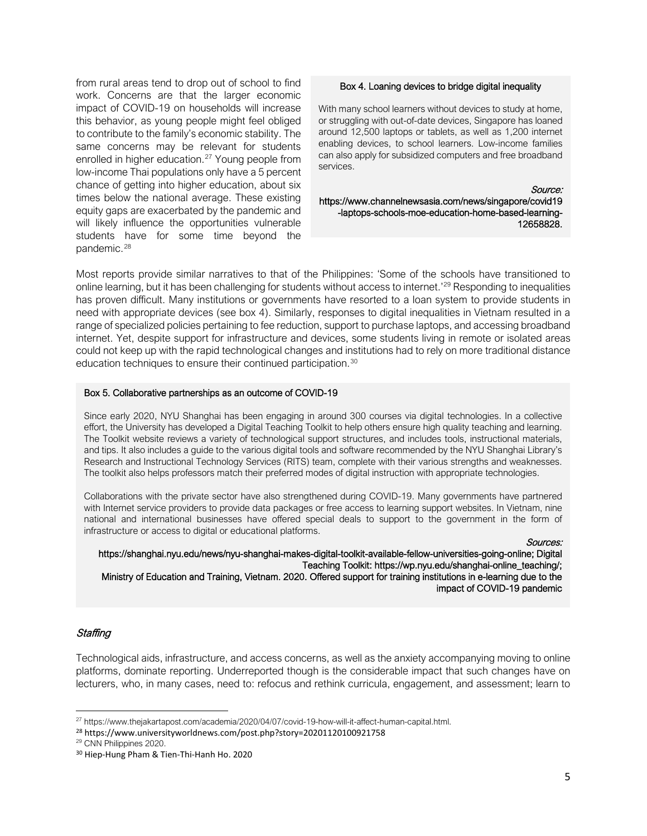from rural areas tend to drop out of school to find work. Concerns are that the larger economic impact of COVID-19 on households will increase this behavior, as young people might feel obliged to contribute to the family's economic stability. The same concerns may be relevant for students enrolled in higher education.<sup>[27](#page-4-0)</sup> Young people from low-income Thai populations only have a 5 percent chance of getting into higher education, about six times below the national average. These existing equity gaps are exacerbated by the pandemic and will likely influence the opportunities vulnerable students have for some time beyond the pandemic.<sup>[28](#page-4-1)</sup>

#### Box 4. Loaning devices to bridge digital inequality

With many school learners without devices to study at home, or struggling with out-of-date devices, Singapore has loaned around 12,500 laptops or tablets, as well as 1,200 internet enabling devices, to school learners. Low-income families can also apply for subsidized computers and free broadband services.

Source: [https://www.channelnewsasia.com/news/singapore/covid19](https://www.channelnewsasia.com/news/singapore/covid19-laptops-schools-moe-education-home-based-learning-12658828) [-laptops-schools-moe-education-home-based-learning-](https://www.channelnewsasia.com/news/singapore/covid19-laptops-schools-moe-education-home-based-learning-12658828)[12658828.](https://www.channelnewsasia.com/news/singapore/covid19-laptops-schools-moe-education-home-based-learning-12658828)

Most reports provide similar narratives to that of the Philippines: 'Some of the schools have transitioned to online learning, but it has been challenging for students without access to internet.' [29](#page-4-2) Responding to inequalities has proven difficult. Many institutions or governments have resorted to a loan system to provide students in need with appropriate devices (see box 4). Similarly, responses to digital inequalities in Vietnam resulted in a range of specialized policies pertaining to fee reduction, support to purchase laptops, and accessing broadband internet. Yet, despite support for infrastructure and devices, some students living in remote or isolated areas could not keep up with the rapid technological changes and institutions had to rely on more traditional distance education techniques to ensure their continued participation.<sup>[30](#page-4-3)</sup>

#### Box 5. Collaborative partnerships as an outcome of COVID-19

Since early 2020, NYU Shanghai has been engaging in around 300 courses via digital technologies. In a collective effort, the University has developed a Digital Teaching Toolkit to help others ensure high quality teaching and learning. The Toolkit website reviews a variety of technological support structures, and includes tools, instructional materials, and tips. It also includes a guide to the various digital tools and software recommended by the NYU Shanghai Library's Research and Instructional Technology Services (RITS) team, complete with their various strengths and weaknesses. The toolkit also helps professors match their preferred modes of digital instruction with appropriate technologies.

Collaborations with the private sector have also strengthened during COVID-19. Many governments have partnered with Internet service providers to provide data packages or free access to learning support websites. In Vietnam, nine national and international businesses have offered special deals to support to the government in the form of infrastructure or access to digital or educational platforms.

Sources:

 [https://shanghai.nyu.edu/news/nyu-shanghai-makes-digital-toolkit-available-fellow-universities-going-online;](https://shanghai.nyu.edu/news/nyu-shanghai-makes-digital-toolkit-available-fellow-universities-going-online) Digital Teaching Toolkit[: https://wp.nyu.edu/shanghai-online\\_teaching/;](https://wp.nyu.edu/shanghai-online_teaching/) Ministry of Education and Training, Vietnam. 2020. Offered support for training institutions in e-learning due to the impact of COVID-19 pandemic

### **Staffing**

Technological aids, infrastructure, and access concerns, as well as the anxiety accompanying moving to online platforms, dominate reporting. Underreported though is the considerable impact that such changes have on lecturers, who, in many cases, need to: refocus and rethink curricula, engagement, and assessment; learn to

<span id="page-4-1"></span><sup>28</sup> https://www.universityworldnews.com/post.php?story=20201120100921758

<span id="page-4-0"></span><sup>27</sup> [https://www.thejakartapost.com/academia/2020/04/07/covid-19-how-will-it-affect-human-capital.html.](https://www.thejakartapost.com/academia/2020/04/07/covid-19-how-will-it-affect-human-capital.html)

<span id="page-4-2"></span><sup>29</sup> CNN Philippines 2020.

<span id="page-4-3"></span><sup>30</sup> Hiep-Hung Pham & Tien-Thi-Hanh Ho. 2020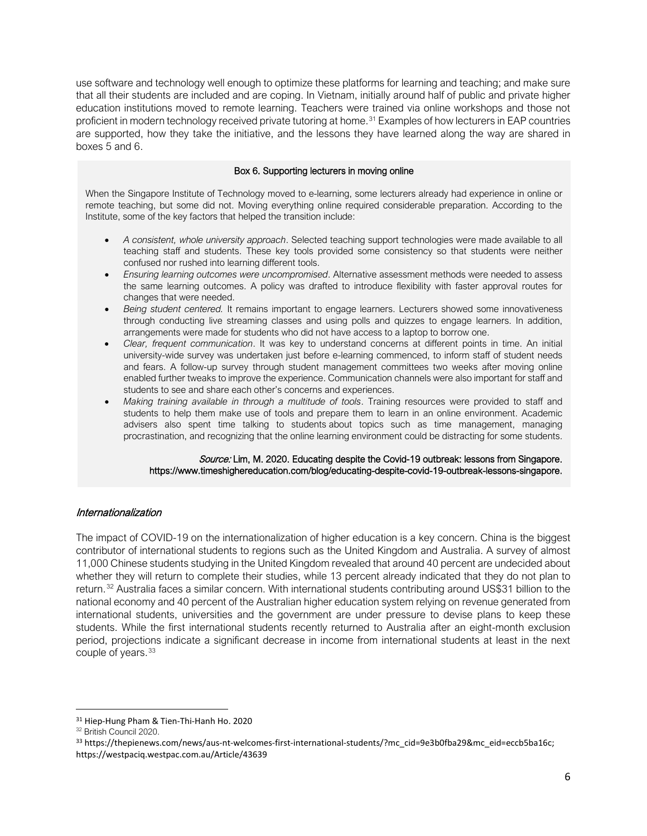use software and technology well enough to optimize these platforms for learning and teaching; and make sure that all their students are included and are coping. In Vietnam, initially around half of public and private higher education institutions moved to remote learning. Teachers were trained via online workshops and those not proficient in modern technology received private tutoring at home.<sup>[31](#page-5-0)</sup> Examples of how lecturers in EAP countries are supported, how they take the initiative, and the lessons they have learned along the way are shared in boxes 5 and 6.

### Box 6. Supporting lecturers in moving online

When the Singapore Institute of Technology moved to e-learning, some lecturers already had experience in online or remote teaching, but some did not. Moving everything online required considerable preparation. According to the Institute, some of the key factors that helped the transition include:

- *A consistent, whole university approach*. Selected teaching support technologies were made available to all teaching staff and students. These key tools provided some consistency so that students were neither confused nor rushed into learning different tools.
- *Ensuring learning outcomes were uncompromised*. Alternative assessment methods were needed to assess the same learning outcomes. A policy was drafted to introduce flexibility with faster approval routes for changes that were needed.
- *Being student centered.* It remains important to engage learners. Lecturers showed some innovativeness through conducting live streaming classes and using polls and quizzes to engage learners. In addition, arrangements were made for students who did not have access to a laptop to borrow one.
- *Clear, frequent communication*. It was key to understand concerns at different points in time. An initial university-wide survey was undertaken just before e-learning commenced, to inform staff of student needs and fears. A follow-up survey through student management committees two weeks after moving online enabled further tweaks to improve the experience. Communication channels were also important for staff and students to see and share each other's concerns and experiences.
- *Making training available in through a multitude of tools*. Training resources were provided to staff and students to help them make use of tools and prepare them to learn in an online environment. Academic advisers also spent time talking to students about topics such as time management, managing procrastination, and recognizing that the online learning environment could be distracting for some students.

#### Source: Lim, M. 2020. Educating despite the Covid-19 outbreak: lessons from Singapore. [https://www.timeshighereducation.com/blog/educating-despite-covid-19-outbreak-lessons-singapore.](https://www.timeshighereducation.com/blog/educating-despite-covid-19-outbreak-lessons-singapore)

### Internationalization

The impact of COVID-19 on the internationalization of higher education is a key concern. China is the biggest contributor of international students to regions such as the United Kingdom and Australia. A survey of almost 11,000 Chinese students studying in the United Kingdom revealed that around 40 percent are undecided about whether they will return to complete their studies, while 13 percent already indicated that they do not plan to return.[32](#page-5-1) Australia faces a similar concern. With international students contributing around US\$31 billion to the national economy and 40 percent of the Australian higher education system relying on revenue generated from international students, universities and the government are under pressure to devise plans to keep these students. While the first international students recently returned to Australia after an eight-month exclusion period, projections indicate a significant decrease in income from international students at least in the next couple of years.<sup>[33](#page-5-2)</sup>

<span id="page-5-0"></span><sup>&</sup>lt;sup>31</sup> Hiep-Hung Pham & Tien-Thi-Hanh Ho. 2020

<span id="page-5-1"></span><sup>32</sup> British Council 2020.

<span id="page-5-2"></span><sup>33</sup> https://thepienews.com/news/aus-nt-welcomes-first-international-students/?mc\_cid=9e3b0fba29&mc\_eid=eccb5ba16c; https://westpaciq.westpac.com.au/Article/43639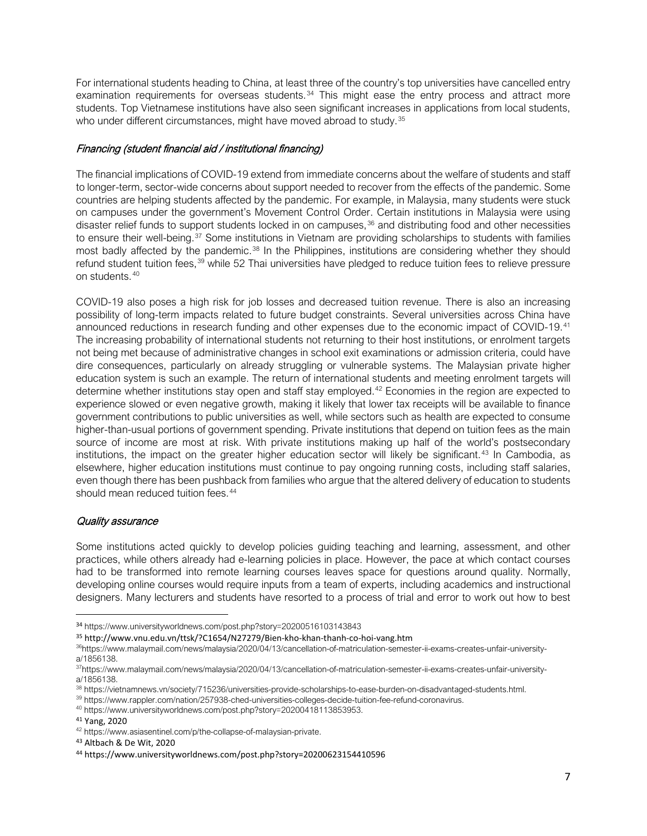For international students heading to China, at least three of the country's top universities have cancelled entry examination requirements for overseas students. $34$  This might ease the entry process and attract more students. Top Vietnamese institutions have also seen significant increases in applications from local students, who under different circumstances, might have moved abroad to study.<sup>[35](#page-6-1)</sup>

# Financing (student financial aid / institutional financing)

The financial implications of COVID-19 extend from immediate concerns about the welfare of students and staff to longer-term, sector-wide concerns about support needed to recover from the effects of the pandemic. Some countries are helping students affected by the pandemic. For example, in Malaysia, many students were stuck on campuses under the government's Movement Control Order. Certain institutions in Malaysia were using disaster relief funds to support students locked in on campuses,<sup>[36](#page-6-2)</sup> and distributing food and other necessities to ensure their well-being.<sup>[37](#page-6-3)</sup> Some institutions in Vietnam are providing scholarships to students with families most badly affected by the pandemic.<sup>[38](#page-6-4)</sup> In the Philippines, institutions are considering whether they should refund student tuition fees,<sup>[39](#page-6-5)</sup> while 52 Thai universities have pledged to reduce tuition fees to relieve pressure on students.[40](#page-6-6)

COVID-19 also poses a high risk for job losses and decreased tuition revenue. There is also an increasing possibility of long-term impacts related to future budget constraints. Several universities across China have announced reductions in research funding and other expenses due to the economic impact of COVID-19.<sup>[41](#page-6-7)</sup> The increasing probability of international students not returning to their host institutions, or enrolment targets not being met because of administrative changes in school exit examinations or admission criteria, could have dire consequences, particularly on already struggling or vulnerable systems. The Malaysian private higher education system is such an example. The return of international students and meeting enrolment targets will determine whether institutions stay open and staff stay employed.<sup>[42](#page-6-8)</sup> Economies in the region are expected to experience slowed or even negative growth, making it likely that lower tax receipts will be available to finance government contributions to public universities as well, while sectors such as health are expected to consume higher-than-usual portions of government spending. Private institutions that depend on tuition fees as the main source of income are most at risk. With private institutions making up half of the world's postsecondary institutions, the impact on the greater higher education sector will likely be significant.<sup>[43](#page-6-9)</sup> In Cambodia, as elsewhere, higher education institutions must continue to pay ongoing running costs, including staff salaries, even though there has been pushback from families who argue that the altered delivery of education to students should mean reduced tuition fees.<sup>[44](#page-6-10)</sup>

## Quality assurance

Some institutions acted quickly to develop policies guiding teaching and learning, assessment, and other practices, while others already had e-learning policies in place. However, the pace at which contact courses had to be transformed into remote learning courses leaves space for questions around quality. Normally, developing online courses would require inputs from a team of experts, including academics and instructional designers. Many lecturers and students have resorted to a process of trial and error to work out how to best

<span id="page-6-0"></span><sup>34</sup> <https://www.universityworldnews.com/post.php?story=20200516103143843>

<span id="page-6-1"></span><sup>35</sup> http://www.vnu.edu.vn/ttsk/?C1654/N27279/Bien-kho-khan-thanh-co-hoi-vang.htm

<span id="page-6-2"></span><sup>3</sup>[6https://www.malaymail.com/news/malaysia/2020/04/13/cancellation-of-matriculation-semester-ii-exams-creates-unfair-university](https://www.malaymail.com/news/malaysia/2020/04/13/cancellation-of-matriculation-semester-ii-exams-creates-unfair-university-a/1856138)[a/1856138.](https://www.malaymail.com/news/malaysia/2020/04/13/cancellation-of-matriculation-semester-ii-exams-creates-unfair-university-a/1856138)

<span id="page-6-3"></span><sup>3</sup>[7https://www.malaymail.com/news/malaysia/2020/04/13/cancellation-of-matriculation-semester-ii-exams-creates-unfair-university](https://www.malaymail.com/news/malaysia/2020/04/13/cancellation-of-matriculation-semester-ii-exams-creates-unfair-university-a/1856138)[a/1856138.](https://www.malaymail.com/news/malaysia/2020/04/13/cancellation-of-matriculation-semester-ii-exams-creates-unfair-university-a/1856138)

<span id="page-6-4"></span><sup>38</sup> [https://vietnamnews.vn/society/715236/universities-provide-scholarships-to-ease-burden-on-disadvantaged-students.html.](https://vietnamnews.vn/society/715236/universities-provide-scholarships-to-ease-burden-on-disadvantaged-students.html)

<span id="page-6-5"></span><sup>39</sup> [https://www.rappler.com/nation/257938-ched-universities-colleges-decide-tuition-fee-refund-coronavirus.](https://www.rappler.com/nation/257938-ched-universities-colleges-decide-tuition-fee-refund-coronavirus)

<span id="page-6-6"></span><sup>40</sup> [https://www.universityworldnews.com/post.php?story=20200418113853953.](https://www.universityworldnews.com/post.php?story=20200418113853953)

<span id="page-6-7"></span><sup>41</sup> Yang, 2020

<span id="page-6-8"></span><sup>42</sup> [https://www.asiasentinel.com/p/the-collapse-of-malaysian-private.](https://www.asiasentinel.com/p/the-collapse-of-malaysian-private)

<span id="page-6-9"></span><sup>43</sup> Altbach & De Wit, 2020

<span id="page-6-10"></span><sup>44</sup> https://www.universityworldnews.com/post.php?story=20200623154410596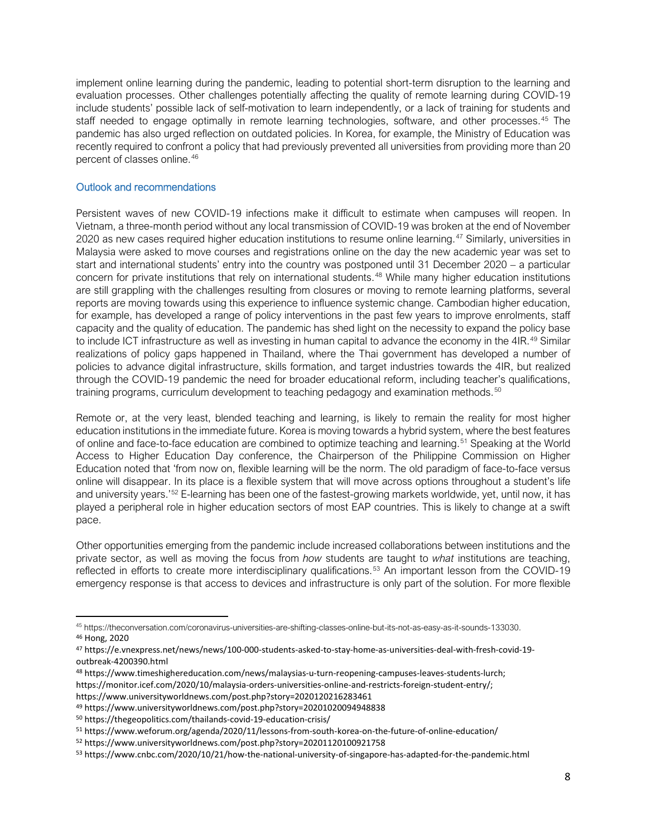implement online learning during the pandemic, leading to potential short-term disruption to the learning and evaluation processes. Other challenges potentially affecting the quality of remote learning during COVID-19 include students' possible lack of self-motivation to learn independently, or a lack of training for students and staff needed to engage optimally in remote learning technologies, software, and other processes.<sup>[45](#page-7-0)</sup> The pandemic has also urged reflection on outdated policies. In Korea, for example, the Ministry of Education was recently required to confront a policy that had previously prevented all universities from providing more than 20 percent of classes online.[46](#page-7-1)

## Outlook and recommendations

Persistent waves of new COVID-19 infections make it difficult to estimate when campuses will reopen. In Vietnam, a three-month period without any local transmission of COVID-19 was broken at the end of November 2020 as new cases required higher education institutions to resume online learning.<sup>[47](#page-7-2)</sup> Similarly, universities in Malaysia were asked to move courses and registrations online on the day the new academic year was set to start and international students' entry into the country was postponed until 31 December 2020 – a particular concern for private institutions that rely on international students. [48](#page-7-3) While many higher education institutions are still grappling with the challenges resulting from closures or moving to remote learning platforms, several reports are moving towards using this experience to influence systemic change. Cambodian higher education, for example, has developed a range of policy interventions in the past few years to improve enrolments, staff capacity and the quality of education. The pandemic has shed light on the necessity to expand the policy base to include ICT infrastructure as well as investing in human capital to advance the economy in the 4IR.<sup>[49](#page-7-4)</sup> Similar realizations of policy gaps happened in Thailand, where the Thai government has developed a number of policies to advance digital infrastructure, skills formation, and target industries towards the 4IR, but realized through the COVID-19 pandemic the need for broader educational reform, including teacher's qualifications, training programs, curriculum development to teaching pedagogy and examination methods.<sup>[50](#page-7-5)</sup>

Remote or, at the very least, blended teaching and learning, is likely to remain the reality for most higher education institutions in the immediate future. Korea is moving towards a hybrid system, where the best features of online and face-to-face education are combined to optimize teaching and learning.[51](#page-7-6) Speaking at the World Access to Higher Education Day conference, the Chairperson of the Philippine Commission on Higher Education noted that 'from now on, flexible learning will be the norm. The old paradigm of face-to-face versus online will disappear. In its place is a flexible system that will move across options throughout a student's life and university years.<sup>7[52](#page-7-7)</sup> E-learning has been one of the fastest-growing markets worldwide, yet, until now, it has played a peripheral role in higher education sectors of most EAP countries. This is likely to change at a swift pace.

Other opportunities emerging from the pandemic include increased collaborations between institutions and the private sector, as well as moving the focus from *how* students are taught to *what* institutions are teaching, reflected in efforts to create more interdisciplinary qualifications.<sup>[53](#page-7-8)</sup> An important lesson from the COVID-19 emergency response is that access to devices and infrastructure is only part of the solution. For more flexible

- <span id="page-7-3"></span><sup>48</sup> https://www.timeshighereducation.com/news/malaysias-u-turn-reopening-campuses-leaves-students-lurch;
- https://monitor.icef.com/2020/10/malaysia-orders-universities-online-and-restricts-foreign-student-entry/; https://www.universityworldnews.com/post.php?story=2020120216283461
- <span id="page-7-4"></span><sup>49</sup> https://www.universityworldnews.com/post.php?story=20201020094948838

<span id="page-7-0"></span><sup>45</sup> [https://theconversation.com/coronavirus-universities-are-shifting-classes-online-but-its-not-as-easy-as-it-sounds-133030.](https://theconversation.com/coronavirus-universities-are-shifting-classes-online-but-its-not-as-easy-as-it-sounds-133030)

<span id="page-7-1"></span><sup>46</sup> Hong, 2020

<span id="page-7-2"></span><sup>47</sup> https://e.vnexpress.net/news/news/100-000-students-asked-to-stay-home-as-universities-deal-with-fresh-covid-19 outbreak-4200390.html

<span id="page-7-5"></span><sup>50</sup> https://thegeopolitics.com/thailands-covid-19-education-crisis/

<span id="page-7-6"></span><sup>51</sup> https://www.weforum.org/agenda/2020/11/lessons-from-south-korea-on-the-future-of-online-education/

<span id="page-7-7"></span><sup>52</sup> https://www.universityworldnews.com/post.php?story=20201120100921758

<span id="page-7-8"></span><sup>53</sup> https://www.cnbc.com/2020/10/21/how-the-national-university-of-singapore-has-adapted-for-the-pandemic.html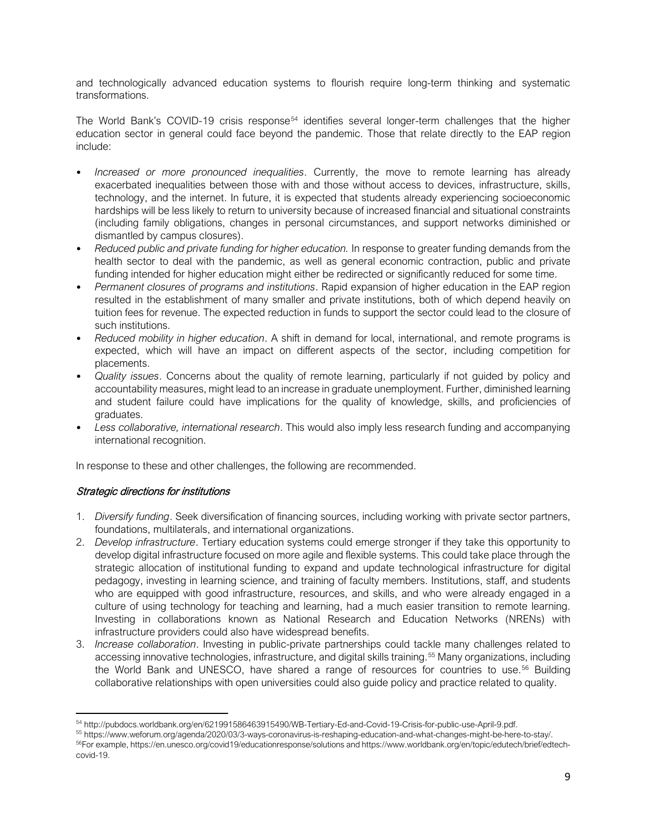and technologically advanced education systems to flourish require long-term thinking and systematic transformations.

The World Bank's COVID-19 crisis response<sup>[54](#page-8-0)</sup> identifies several longer-term challenges that the higher education sector in general could face beyond the pandemic. Those that relate directly to the EAP region include:

- *Increased or more pronounced inequalities*. Currently, the move to remote learning has already exacerbated inequalities between those with and those without access to devices, infrastructure, skills, technology, and the internet. In future, it is expected that students already experiencing socioeconomic hardships will be less likely to return to university because of increased financial and situational constraints (including family obligations, changes in personal circumstances, and support networks diminished or dismantled by campus closures).
- *Reduced public and private funding for higher education.* In response to greater funding demands from the health sector to deal with the pandemic, as well as general economic contraction, public and private funding intended for higher education might either be redirected or significantly reduced for some time.
- *Permanent closures of programs and institutions*. Rapid expansion of higher education in the EAP region resulted in the establishment of many smaller and private institutions, both of which depend heavily on tuition fees for revenue. The expected reduction in funds to support the sector could lead to the closure of such institutions.
- *Reduced mobility in higher education*. A shift in demand for local, international, and remote programs is expected, which will have an impact on different aspects of the sector, including competition for placements.
- *Quality issues*. Concerns about the quality of remote learning, particularly if not guided by policy and accountability measures, might lead to an increase in graduate unemployment. Further, diminished learning and student failure could have implications for the quality of knowledge, skills, and proficiencies of graduates.
- *Less collaborative, international research*. This would also imply less research funding and accompanying international recognition.

In response to these and other challenges, the following are recommended.

# Strategic directions for institutions

- 1. *Diversify funding*. Seek diversification of financing sources, including working with private sector partners, foundations, multilaterals, and international organizations.
- 2. *Develop infrastructure*. Tertiary education systems could emerge stronger if they take this opportunity to develop digital infrastructure focused on more agile and flexible systems. This could take place through the strategic allocation of institutional funding to expand and update technological infrastructure for digital pedagogy, investing in learning science, and training of faculty members. Institutions, staff, and students who are equipped with good infrastructure, resources, and skills, and who were already engaged in a culture of using technology for teaching and learning, had a much easier transition to remote learning. Investing in collaborations known as National Research and Education Networks (NRENs) with infrastructure providers could also have widespread benefits.
- 3. *Increase collaboration*. Investing in public-private partnerships could tackle many challenges related to accessing innovative technologies, infrastructure, and digital skills training.<sup>[55](#page-8-1)</sup> Many organizations, including the World Bank and UNESCO, have shared a range of resources for countries to use.<sup>[56](#page-8-2)</sup> Building collaborative relationships with open universities could also guide policy and practice related to quality.

<span id="page-8-0"></span><sup>54</sup> [http://pubdocs.worldbank.org/en/621991586463915490/WB-Tertiary-Ed-and-Covid-19-Crisis-for-public-use-April-9.pdf.](http://pubdocs.worldbank.org/en/621991586463915490/WB-Tertiary-Ed-and-Covid-19-Crisis-for-public-use-April-9.pdf)

<span id="page-8-1"></span><sup>55</sup> [https://www.weforum.org/agenda/2020/03/3-ways-coronavirus-is-reshaping-education-and-what-changes-might-be-here-to-stay/.](https://www.weforum.org/agenda/2020/03/3-ways-coronavirus-is-reshaping-education-and-what-changes-might-be-here-to-stay/)

<span id="page-8-2"></span><sup>56</sup>For example[, https://en.unesco.org/covid19/educationresponse/solutions](https://en.unesco.org/covid19/educationresponse/solutions) an[d https://www.worldbank.org/en/topic/edutech/brief/edtech](https://www.worldbank.org/en/topic/edutech/brief/edtech-covid-19)[covid-19.](https://www.worldbank.org/en/topic/edutech/brief/edtech-covid-19)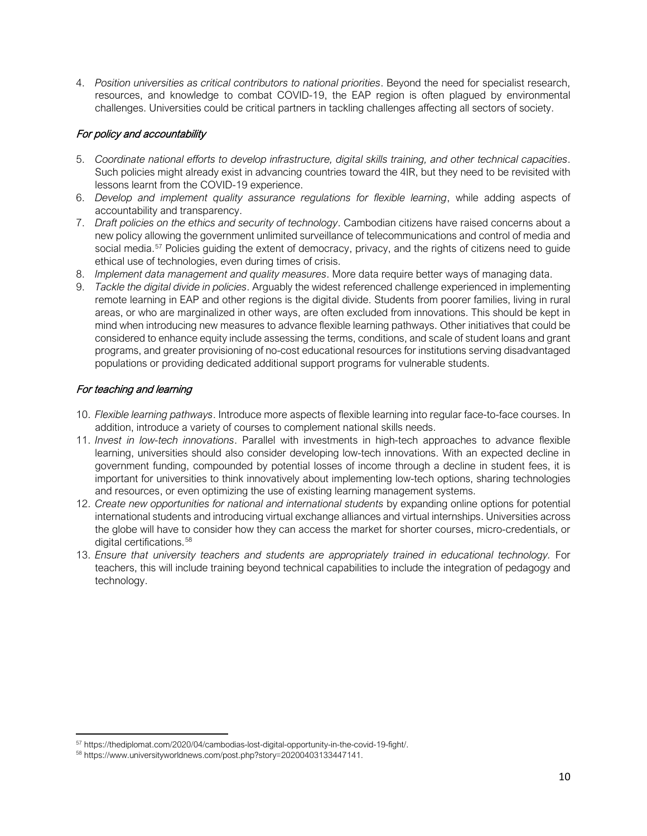4. *Position universities as critical contributors to national priorities*. Beyond the need for specialist research, resources, and knowledge to combat COVID-19, the EAP region is often plagued by environmental challenges. Universities could be critical partners in tackling challenges affecting all sectors of society.

# For policy and accountability

- 5. *Coordinate national efforts to develop infrastructure, digital skills training, and other technical capacities*. Such policies might already exist in advancing countries toward the 4IR, but they need to be revisited with lessons learnt from the COVID-19 experience.
- 6. *Develop and implement quality assurance regulations for flexible learning*, while adding aspects of accountability and transparency.
- 7. *Draft policies on the ethics and security of technology*. Cambodian citizens have raised concerns about a new policy allowing the government unlimited surveillance of telecommunications and control of media and social media.<sup>[57](#page-9-0)</sup> Policies guiding the extent of democracy, privacy, and the rights of citizens need to guide ethical use of technologies, even during times of crisis.
- 8. *Implement data management and quality measures*. More data require better ways of managing data.
- 9. *Tackle the digital divide in policies*. Arguably the widest referenced challenge experienced in implementing remote learning in EAP and other regions is the digital divide. Students from poorer families, living in rural areas, or who are marginalized in other ways, are often excluded from innovations. This should be kept in mind when introducing new measures to advance flexible learning pathways. Other initiatives that could be considered to enhance equity include assessing the terms, conditions, and scale of student loans and grant programs, and greater provisioning of no-cost educational resources for institutions serving disadvantaged populations or providing dedicated additional support programs for vulnerable students.

# For teaching and learning

- 10. *Flexible learning pathways*. Introduce more aspects of flexible learning into regular face-to-face courses. In addition, introduce a variety of courses to complement national skills needs.
- 11. *Invest in low-tech innovations*. Parallel with investments in high-tech approaches to advance flexible learning, universities should also consider developing low-tech innovations. With an expected decline in government funding, compounded by potential losses of income through a decline in student fees, it is important for universities to think innovatively about implementing low-tech options, sharing technologies and resources, or even optimizing the use of existing learning management systems.
- 12. *Create new opportunities for national and international students* by expanding online options for potential international students and introducing virtual exchange alliances and virtual internships. Universities across the globe will have to consider how they can access the market for shorter courses, micro-credentials, or digital certifications.<sup>[58](#page-9-1)</sup>
- 13. *Ensure that university teachers and students are appropriately trained in educational technology.* For teachers, this will include training beyond technical capabilities to include the integration of pedagogy and technology.

<span id="page-9-0"></span><sup>57</sup> [https://thediplomat.com/2020/04/cambodias-lost-digital-opportunity-in-the-covid-19-fight/.](https://thediplomat.com/2020/04/cambodias-lost-digital-opportunity-in-the-covid-19-fight/)

<span id="page-9-1"></span><sup>58</sup> [https://www.universityworldnews.com/post.php?story=20200403133447141.](https://www.universityworldnews.com/post.php?story=20200403133447141)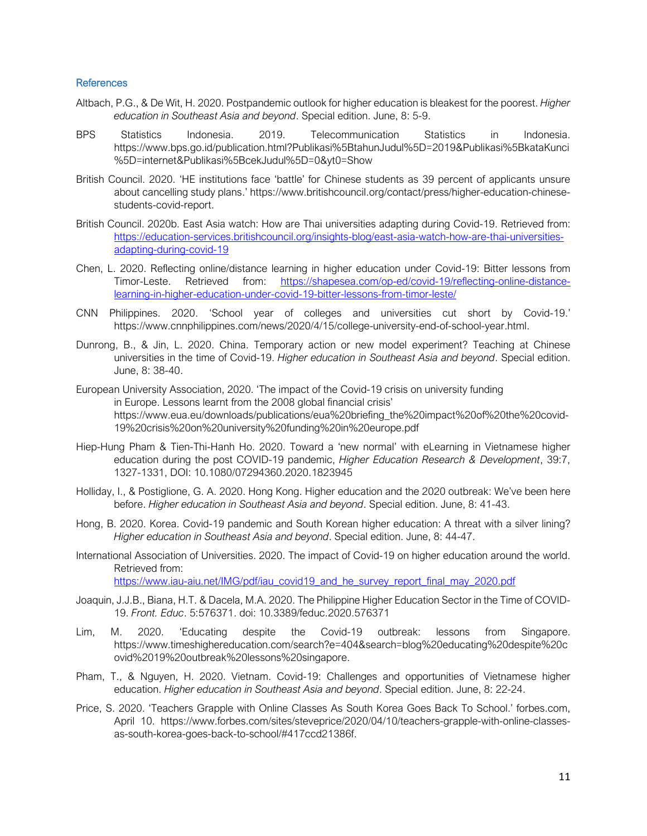#### **References**

- Altbach, P.G., & De Wit, H. 2020. Postpandemic outlook for higher education is bleakest for the poorest. *Higher education in Southeast Asia and beyond*. Special edition. June, 8: 5-9.
- BPS Statistics Indonesia. 2019. Telecommunication Statistics in Indonesia. https://www.bps.go.id/publication.html?Publikasi%5BtahunJudul%5D=2019&Publikasi%5BkataKunci %5D=internet&Publikasi%5BcekJudul%5D=0&yt0=Show
- British Council. 2020. 'HE institutions face 'battle' for Chinese students as 39 percent of applicants unsure about cancelling study plans.' [https://www.britishcouncil.org/contact/press/higher-education-chinese](https://www.britishcouncil.org/contact/press/higher-education-chinese-students-covid-report)[students-covid-report.](https://www.britishcouncil.org/contact/press/higher-education-chinese-students-covid-report)
- British Council. 2020b. East Asia watch: How are Thai universities adapting during Covid-19. Retrieved from: [https://education-services.britishcouncil.org/insights-blog/east-asia-watch-how-are-thai-universities](https://education-services.britishcouncil.org/insights-blog/east-asia-watch-how-are-thai-universities-adapting-during-covid-19)[adapting-during-covid-19](https://education-services.britishcouncil.org/insights-blog/east-asia-watch-how-are-thai-universities-adapting-during-covid-19)
- Chen, L. 2020. Reflecting online/distance learning in higher education under Covid-19: Bitter lessons from Timor-Leste. Retrieved from: [https://shapesea.com/op-ed/covid-19/reflecting-online-distance](https://shapesea.com/op-ed/covid-19/reflecting-online-distance-learning-in-higher-education-under-covid-19-bitter-lessons-from-timor-leste/)[learning-in-higher-education-under-covid-19-bitter-lessons-from-timor-leste/](https://shapesea.com/op-ed/covid-19/reflecting-online-distance-learning-in-higher-education-under-covid-19-bitter-lessons-from-timor-leste/)
- CNN Philippines. 2020. 'School year of colleges and universities cut short by Covid-19.' [https://www.cnnphilippines.com/news/2020/4/15/college-university-end-of-school-year.html.](https://www.cnnphilippines.com/news/2020/4/15/college-university-end-of-school-year.html)
- Dunrong, B., & Jin, L. 2020. China. Temporary action or new model experiment? Teaching at Chinese universities in the time of Covid-19. *Higher education in Southeast Asia and beyond*. Special edition. June, 8: 38-40.
- European University Association, 2020. 'The impact of the Covid-19 crisis on university funding in Europe. Lessons learnt from the 2008 global financial crisis' [https://www.eua.eu/downloads/publications/eua%20briefing\\_the%20impact%20of%20the%20covid-](https://www.eua.eu/downloads/publications/eua%20briefing_the%20impact%20of%20the%20covid-19%20crisis%20on%20university%20funding%20in%20europe.pdf)[19%20crisis%20on%20university%20funding%20in%20europe.pdf](https://www.eua.eu/downloads/publications/eua%20briefing_the%20impact%20of%20the%20covid-19%20crisis%20on%20university%20funding%20in%20europe.pdf)
- Hiep-Hung Pham & Tien-Thi-Hanh Ho. 2020. Toward a 'new normal' with eLearning in Vietnamese higher education during the post COVID-19 pandemic, *Higher Education Research & Development*, 39:7, 1327-1331, DOI: 10.1080/07294360.2020.1823945
- Holliday, I., & Postiglione, G. A. 2020. Hong Kong. Higher education and the 2020 outbreak: We've been here before. *Higher education in Southeast Asia and beyond*. Special edition. June, 8: 41-43.
- Hong, B. 2020. Korea. Covid-19 pandemic and South Korean higher education: A threat with a silver lining? *Higher education in Southeast Asia and beyond*. Special edition. June, 8: 44-47.
- International Association of Universities. 2020. The impact of Covid-19 on higher education around the world. Retrieved from: [https://www.iau-aiu.net/IMG/pdf/iau\\_covid19\\_and\\_he\\_survey\\_report\\_final\\_may\\_2020.pdf](https://www.iau-aiu.net/IMG/pdf/iau_covid19_and_he_survey_report_final_may_2020.pdf)
	-
- Joaquin, J.J.B., Biana, H.T. & Dacela, M.A. 2020. The Philippine Higher Education Sector in the Time of COVID-19. *Front. Educ*. 5:576371. doi: 10.3389/feduc.2020.576371
- Lim, M. 2020. 'Educating despite the Covid-19 outbreak: lessons from Singapore. [https://www.timeshighereducation.com/search?e=404&search=blog%20educating%20despite%20c](https://www.timeshighereducation.com/search?e=404&search=blog%20educating%20despite%20covid%2019%20outbreak%20lessons%20singapore) [ovid%2019%20outbreak%20lessons%20singapore.](https://www.timeshighereducation.com/search?e=404&search=blog%20educating%20despite%20covid%2019%20outbreak%20lessons%20singapore)
- Pham, T., & Nguyen, H. 2020. Vietnam. Covid-19: Challenges and opportunities of Vietnamese higher education. *Higher education in Southeast Asia and beyond*. Special edition. June, 8: 22-24.
- Price, S. 2020. 'Teachers Grapple with Online Classes As South Korea Goes Back To School.' forbes.com, April 10. [https://www.forbes.com/sites/steveprice/2020/04/10/teachers-grapple-with-online-classes](https://www.forbes.com/sites/steveprice/2020/04/10/teachers-grapple-with-online-classes-as-south-korea-goes-back-to-school/#417ccd21386f)[as-south-korea-goes-back-to-school/#417ccd21386f.](https://www.forbes.com/sites/steveprice/2020/04/10/teachers-grapple-with-online-classes-as-south-korea-goes-back-to-school/#417ccd21386f)